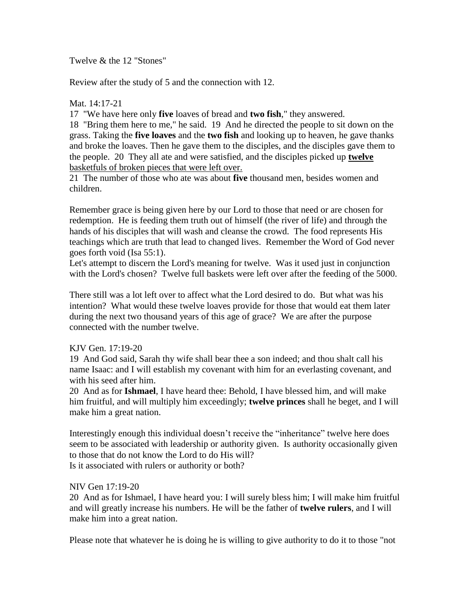Twelve & the 12 "Stones"

Review after the study of 5 and the connection with 12.

### Mat. 14:17-21

17 "We have here only **five** loaves of bread and **two fish**," they answered.

18 "Bring them here to me," he said. 19 And he directed the people to sit down on the grass. Taking the **five loaves** and the **two fish** and looking up to heaven, he gave thanks and broke the loaves. Then he gave them to the disciples, and the disciples gave them to the people. 20 They all ate and were satisfied, and the disciples picked up **twelve** basketfuls of broken pieces that were left over.

21 The number of those who ate was about **five** thousand men, besides women and children.

Remember grace is being given here by our Lord to those that need or are chosen for redemption. He is feeding them truth out of himself (the river of life) and through the hands of his disciples that will wash and cleanse the crowd. The food represents His teachings which are truth that lead to changed lives. Remember the Word of God never goes forth void (Isa 55:1).

Let's attempt to discern the Lord's meaning for twelve. Was it used just in conjunction with the Lord's chosen? Twelve full baskets were left over after the feeding of the 5000.

There still was a lot left over to affect what the Lord desired to do. But what was his intention? What would these twelve loaves provide for those that would eat them later during the next two thousand years of this age of grace? We are after the purpose connected with the number twelve.

# KJV Gen. 17:19-20

19 And God said, Sarah thy wife shall bear thee a son indeed; and thou shalt call his name Isaac: and I will establish my covenant with him for an everlasting covenant, and with his seed after him.

20 And as for **Ishmael**, I have heard thee: Behold, I have blessed him, and will make him fruitful, and will multiply him exceedingly; **twelve princes** shall he beget, and I will make him a great nation.

Interestingly enough this individual doesn't receive the "inheritance" twelve here does seem to be associated with leadership or authority given. Is authority occasionally given to those that do not know the Lord to do His will? Is it associated with rulers or authority or both?

### NIV Gen 17:19-20

20 And as for Ishmael, I have heard you: I will surely bless him; I will make him fruitful and will greatly increase his numbers. He will be the father of **twelve rulers**, and I will make him into a great nation.

Please note that whatever he is doing he is willing to give authority to do it to those "not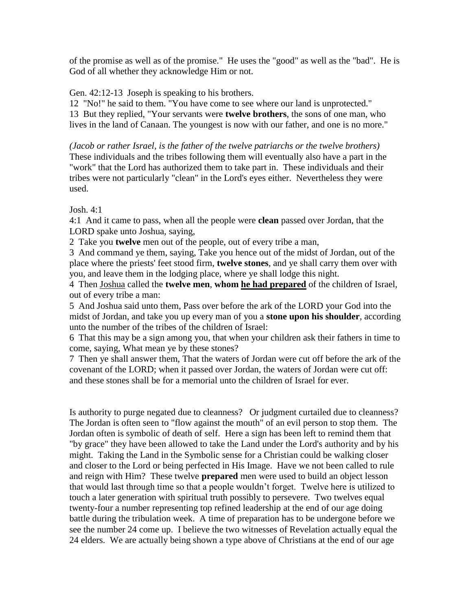of the promise as well as of the promise." He uses the "good" as well as the "bad". He is God of all whether they acknowledge Him or not.

Gen. 42:12-13 Joseph is speaking to his brothers.

12 "No!" he said to them. "You have come to see where our land is unprotected." 13 But they replied, "Your servants were **twelve brothers**, the sons of one man, who lives in the land of Canaan. The youngest is now with our father, and one is no more."

*(Jacob or rather Israel, is the father of the twelve patriarchs or the twelve brothers)* These individuals and the tribes following them will eventually also have a part in the "work" that the Lord has authorized them to take part in. These individuals and their tribes were not particularly "clean" in the Lord's eyes either. Nevertheless they were used.

### Josh. 4:1

4:1 And it came to pass, when all the people were **clean** passed over Jordan, that the LORD spake unto Joshua, saying,

2 Take you **twelve** men out of the people, out of every tribe a man,

3 And command ye them, saying, Take you hence out of the midst of Jordan, out of the place where the priests' feet stood firm, **twelve stones**, and ye shall carry them over with you, and leave them in the lodging place, where ye shall lodge this night.

4 Then Joshua called the **twelve men**, **whom he had prepared** of the children of Israel, out of every tribe a man:

5 And Joshua said unto them, Pass over before the ark of the LORD your God into the midst of Jordan, and take you up every man of you a **stone upon his shoulder**, according unto the number of the tribes of the children of Israel:

6 That this may be a sign among you, that when your children ask their fathers in time to come, saying, What mean ye by these stones?

7 Then ye shall answer them, That the waters of Jordan were cut off before the ark of the covenant of the LORD; when it passed over Jordan, the waters of Jordan were cut off: and these stones shall be for a memorial unto the children of Israel for ever.

Is authority to purge negated due to cleanness? Or judgment curtailed due to cleanness? The Jordan is often seen to "flow against the mouth" of an evil person to stop them. The Jordan often is symbolic of death of self. Here a sign has been left to remind them that "by grace" they have been allowed to take the Land under the Lord's authority and by his might. Taking the Land in the Symbolic sense for a Christian could be walking closer and closer to the Lord or being perfected in His Image. Have we not been called to rule and reign with Him? These twelve **prepared** men were used to build an object lesson that would last through time so that a people wouldn't forget. Twelve here is utilized to touch a later generation with spiritual truth possibly to persevere. Two twelves equal twenty-four a number representing top refined leadership at the end of our age doing battle during the tribulation week. A time of preparation has to be undergone before we see the number 24 come up. I believe the two witnesses of Revelation actually equal the 24 elders. We are actually being shown a type above of Christians at the end of our age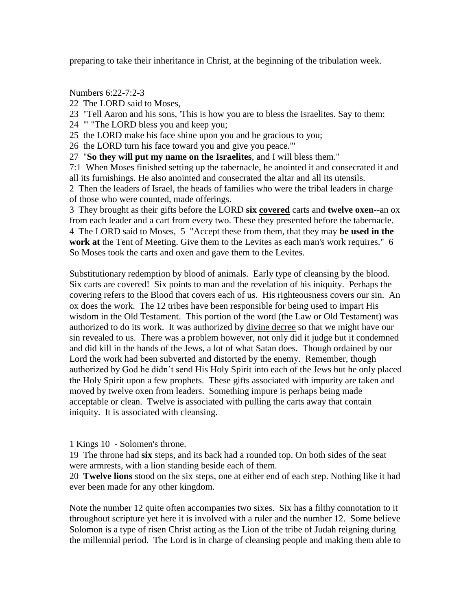preparing to take their inheritance in Christ, at the beginning of the tribulation week.

Numbers 6:22-7:2-3

- 22 The LORD said to Moses,
- 23 "Tell Aaron and his sons, 'This is how you are to bless the Israelites. Say to them:
- 24 "' "The LORD bless you and keep you;
- 25 the LORD make his face shine upon you and be gracious to you;
- 26 the LORD turn his face toward you and give you peace."'
- 27 "**So they will put my name on the Israelites**, and I will bless them."

7:1 When Moses finished setting up the tabernacle, he anointed it and consecrated it and all its furnishings. He also anointed and consecrated the altar and all its utensils.

2 Then the leaders of Israel, the heads of families who were the tribal leaders in charge of those who were counted, made offerings.

3 They brought as their gifts before the LORD **six covered** carts and **twelve oxen**--an ox from each leader and a cart from every two. These they presented before the tabernacle. 4 The LORD said to Moses, 5 "Accept these from them, that they may **be used in the work at** the Tent of Meeting. Give them to the Levites as each man's work requires." 6 So Moses took the carts and oxen and gave them to the Levites.

Substitutionary redemption by blood of animals. Early type of cleansing by the blood. Six carts are covered! Six points to man and the revelation of his iniquity. Perhaps the covering refers to the Blood that covers each of us. His righteousness covers our sin. An ox does the work. The 12 tribes have been responsible for being used to impart His wisdom in the Old Testament. This portion of the word (the Law or Old Testament) was authorized to do its work. It was authorized by divine decree so that we might have our sin revealed to us. There was a problem however, not only did it judge but it condemned and did kill in the hands of the Jews, a lot of what Satan does. Though ordained by our Lord the work had been subverted and distorted by the enemy. Remember, though authorized by God he didn't send His Holy Spirit into each of the Jews but he only placed the Holy Spirit upon a few prophets. These gifts associated with impurity are taken and moved by twelve oxen from leaders. Something impure is perhaps being made acceptable or clean. Twelve is associated with pulling the carts away that contain iniquity. It is associated with cleansing.

# 1 Kings 10 - Solomen's throne.

19 The throne had **six** steps, and its back had a rounded top. On both sides of the seat were armrests, with a lion standing beside each of them.

20 **Twelve lions** stood on the six steps, one at either end of each step. Nothing like it had ever been made for any other kingdom.

Note the number 12 quite often accompanies two sixes. Six has a filthy connotation to it throughout scripture yet here it is involved with a ruler and the number 12. Some believe Solomon is a type of risen Christ acting as the Lion of the tribe of Judah reigning during the millennial period. The Lord is in charge of cleansing people and making them able to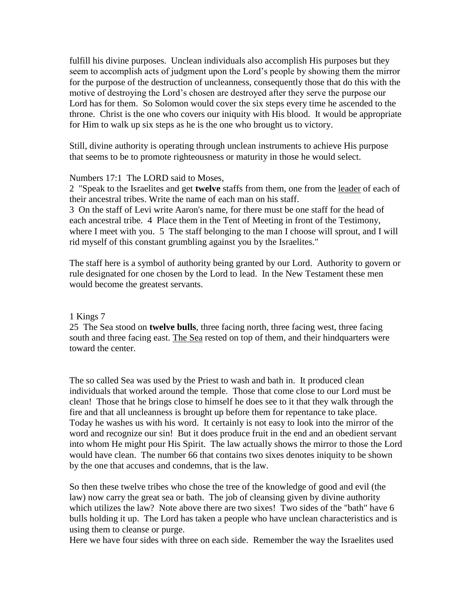fulfill his divine purposes. Unclean individuals also accomplish His purposes but they seem to accomplish acts of judgment upon the Lord's people by showing them the mirror for the purpose of the destruction of uncleanness, consequently those that do this with the motive of destroying the Lord's chosen are destroyed after they serve the purpose our Lord has for them. So Solomon would cover the six steps every time he ascended to the throne. Christ is the one who covers our iniquity with His blood. It would be appropriate for Him to walk up six steps as he is the one who brought us to victory.

Still, divine authority is operating through unclean instruments to achieve His purpose that seems to be to promote righteousness or maturity in those he would select.

### Numbers 17:1 The LORD said to Moses,

2 "Speak to the Israelites and get **twelve** staffs from them, one from the leader of each of their ancestral tribes. Write the name of each man on his staff.

3 On the staff of Levi write Aaron's name, for there must be one staff for the head of each ancestral tribe. 4 Place them in the Tent of Meeting in front of the Testimony, where I meet with you. 5 The staff belonging to the man I choose will sprout, and I will rid myself of this constant grumbling against you by the Israelites."

The staff here is a symbol of authority being granted by our Lord. Authority to govern or rule designated for one chosen by the Lord to lead. In the New Testament these men would become the greatest servants.

#### 1 Kings 7

25 The Sea stood on **twelve bulls**, three facing north, three facing west, three facing south and three facing east. The Sea rested on top of them, and their hindquarters were toward the center.

The so called Sea was used by the Priest to wash and bath in. It produced clean individuals that worked around the temple. Those that come close to our Lord must be clean! Those that he brings close to himself he does see to it that they walk through the fire and that all uncleanness is brought up before them for repentance to take place. Today he washes us with his word. It certainly is not easy to look into the mirror of the word and recognize our sin! But it does produce fruit in the end and an obedient servant into whom He might pour His Spirit. The law actually shows the mirror to those the Lord would have clean. The number 66 that contains two sixes denotes iniquity to be shown by the one that accuses and condemns, that is the law.

So then these twelve tribes who chose the tree of the knowledge of good and evil (the law) now carry the great sea or bath. The job of cleansing given by divine authority which utilizes the law? Note above there are two sixes! Two sides of the "bath" have 6 bulls holding it up. The Lord has taken a people who have unclean characteristics and is using them to cleanse or purge.

Here we have four sides with three on each side. Remember the way the Israelites used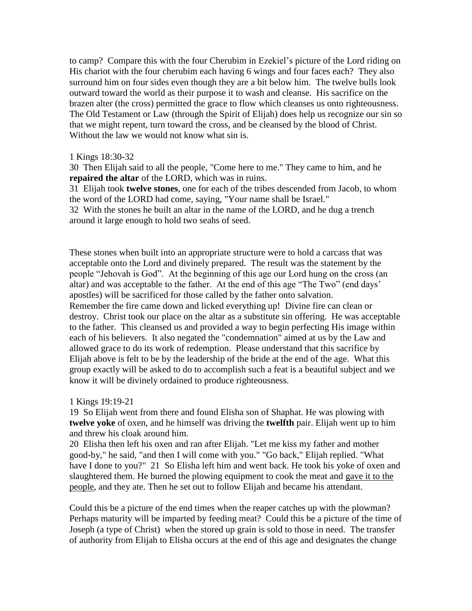to camp? Compare this with the four Cherubim in Ezekiel's picture of the Lord riding on His chariot with the four cherubim each having 6 wings and four faces each? They also surround him on four sides even though they are a bit below him. The twelve bulls look outward toward the world as their purpose it to wash and cleanse. His sacrifice on the brazen alter (the cross) permitted the grace to flow which cleanses us onto righteousness. The Old Testament or Law (through the Spirit of Elijah) does help us recognize our sin so that we might repent, turn toward the cross, and be cleansed by the blood of Christ. Without the law we would not know what sin is.

### 1 Kings 18:30-32

30 Then Elijah said to all the people, "Come here to me." They came to him, and he **repaired the altar** of the LORD, which was in ruins.

31 Elijah took **twelve stones**, one for each of the tribes descended from Jacob, to whom the word of the LORD had come, saying, "Your name shall be Israel."

32 With the stones he built an altar in the name of the LORD, and he dug a trench around it large enough to hold two seahs of seed.

These stones when built into an appropriate structure were to hold a carcass that was acceptable onto the Lord and divinely prepared. The result was the statement by the people "Jehovah is God". At the beginning of this age our Lord hung on the cross (an altar) and was acceptable to the father. At the end of this age "The Two" (end days' apostles) will be sacrificed for those called by the father onto salvation. Remember the fire came down and licked everything up! Divine fire can clean or destroy. Christ took our place on the altar as a substitute sin offering. He was acceptable to the father. This cleansed us and provided a way to begin perfecting His image within each of his believers. It also negated the "condemnation" aimed at us by the Law and allowed grace to do its work of redemption. Please understand that this sacrifice by Elijah above is felt to be by the leadership of the bride at the end of the age. What this group exactly will be asked to do to accomplish such a feat is a beautiful subject and we know it will be divinely ordained to produce righteousness.

1 Kings 19:19-21

19 So Elijah went from there and found Elisha son of Shaphat. He was plowing with **twelve yoke** of oxen, and he himself was driving the **twelfth** pair. Elijah went up to him and threw his cloak around him.

20 Elisha then left his oxen and ran after Elijah. "Let me kiss my father and mother good-by," he said, "and then I will come with you." "Go back," Elijah replied. "What have I done to you?" 21 So Elisha left him and went back. He took his yoke of oxen and slaughtered them. He burned the plowing equipment to cook the meat and gave it to the people, and they ate. Then he set out to follow Elijah and became his attendant.

Could this be a picture of the end times when the reaper catches up with the plowman? Perhaps maturity will be imparted by feeding meat? Could this be a picture of the time of Joseph (a type of Christ) when the stored up grain is sold to those in need. The transfer of authority from Elijah to Elisha occurs at the end of this age and designates the change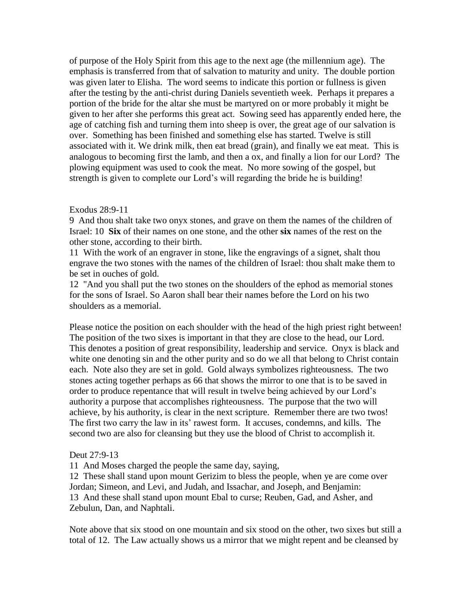of purpose of the Holy Spirit from this age to the next age (the millennium age). The emphasis is transferred from that of salvation to maturity and unity. The double portion was given later to Elisha. The word seems to indicate this portion or fullness is given after the testing by the anti-christ during Daniels seventieth week. Perhaps it prepares a portion of the bride for the altar she must be martyred on or more probably it might be given to her after she performs this great act. Sowing seed has apparently ended here, the age of catching fish and turning them into sheep is over, the great age of our salvation is over. Something has been finished and something else has started. Twelve is still associated with it. We drink milk, then eat bread (grain), and finally we eat meat. This is analogous to becoming first the lamb, and then a ox, and finally a lion for our Lord? The plowing equipment was used to cook the meat. No more sowing of the gospel, but strength is given to complete our Lord's will regarding the bride he is building!

#### Exodus 28:9-11

9 And thou shalt take two onyx stones, and grave on them the names of the children of Israel: 10 **Six** of their names on one stone, and the other **six** names of the rest on the other stone, according to their birth.

11 With the work of an engraver in stone, like the engravings of a signet, shalt thou engrave the two stones with the names of the children of Israel: thou shalt make them to be set in ouches of gold.

12 "And you shall put the two stones on the shoulders of the ephod as memorial stones for the sons of Israel. So Aaron shall bear their names before the Lord on his two shoulders as a memorial.

Please notice the position on each shoulder with the head of the high priest right between! The position of the two sixes is important in that they are close to the head, our Lord. This denotes a position of great responsibility, leadership and service. Onyx is black and white one denoting sin and the other purity and so do we all that belong to Christ contain each. Note also they are set in gold. Gold always symbolizes righteousness. The two stones acting together perhaps as 66 that shows the mirror to one that is to be saved in order to produce repentance that will result in twelve being achieved by our Lord's authority a purpose that accomplishes righteousness. The purpose that the two will achieve, by his authority, is clear in the next scripture. Remember there are two twos! The first two carry the law in its' rawest form. It accuses, condemns, and kills. The second two are also for cleansing but they use the blood of Christ to accomplish it.

### Deut 27:9-13

11 And Moses charged the people the same day, saying,

12 These shall stand upon mount Gerizim to bless the people, when ye are come over Jordan; Simeon, and Levi, and Judah, and Issachar, and Joseph, and Benjamin: 13 And these shall stand upon mount Ebal to curse; Reuben, Gad, and Asher, and Zebulun, Dan, and Naphtali.

Note above that six stood on one mountain and six stood on the other, two sixes but still a total of 12. The Law actually shows us a mirror that we might repent and be cleansed by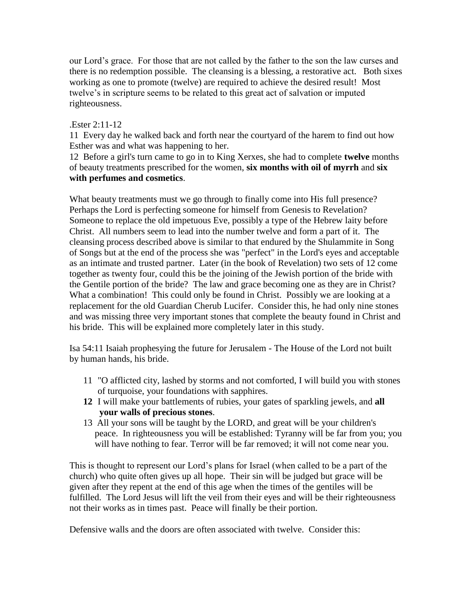our Lord's grace. For those that are not called by the father to the son the law curses and there is no redemption possible. The cleansing is a blessing, a restorative act. Both sixes working as one to promote (twelve) are required to achieve the desired result! Most twelve's in scripture seems to be related to this great act of salvation or imputed righteousness.

### .Ester 2:11-12

11 Every day he walked back and forth near the courtyard of the harem to find out how Esther was and what was happening to her.

12 Before a girl's turn came to go in to King Xerxes, she had to complete **twelve** months of beauty treatments prescribed for the women, **six months with oil of myrrh** and **six with perfumes and cosmetics**.

What beauty treatments must we go through to finally come into His full presence? Perhaps the Lord is perfecting someone for himself from Genesis to Revelation? Someone to replace the old impetuous Eve, possibly a type of the Hebrew laity before Christ. All numbers seem to lead into the number twelve and form a part of it. The cleansing process described above is similar to that endured by the Shulammite in Song of Songs but at the end of the process she was "perfect" in the Lord's eyes and acceptable as an intimate and trusted partner. Later (in the book of Revelation) two sets of 12 come together as twenty four, could this be the joining of the Jewish portion of the bride with the Gentile portion of the bride? The law and grace becoming one as they are in Christ? What a combination! This could only be found in Christ. Possibly we are looking at a replacement for the old Guardian Cherub Lucifer. Consider this, he had only nine stones and was missing three very important stones that complete the beauty found in Christ and his bride. This will be explained more completely later in this study.

Isa 54:11 Isaiah prophesying the future for Jerusalem - The House of the Lord not built by human hands, his bride.

- 11 "O afflicted city, lashed by storms and not comforted, I will build you with stones of turquoise, your foundations with sapphires.
- **12** I will make your battlements of rubies, your gates of sparkling jewels, and **all your walls of precious stones**.
- 13 All your sons will be taught by the LORD, and great will be your children's peace. In righteousness you will be established: Tyranny will be far from you; you will have nothing to fear. Terror will be far removed; it will not come near you.

This is thought to represent our Lord's plans for Israel (when called to be a part of the church) who quite often gives up all hope. Their sin will be judged but grace will be given after they repent at the end of this age when the times of the gentiles will be fulfilled. The Lord Jesus will lift the veil from their eyes and will be their righteousness not their works as in times past. Peace will finally be their portion.

Defensive walls and the doors are often associated with twelve. Consider this: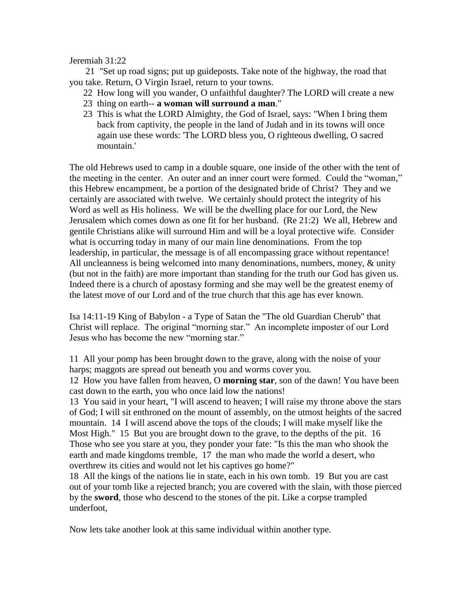Jeremiah 31:22

 21 "Set up road signs; put up guideposts. Take note of the highway, the road that you take. Return, O Virgin Israel, return to your towns.

- 22 How long will you wander, O unfaithful daughter? The LORD will create a new
- 23 thing on earth-- **a woman will surround a man**."
- 23 This is what the LORD Almighty, the God of Israel, says: "When I bring them back from captivity, the people in the land of Judah and in its towns will once again use these words: 'The LORD bless you, O righteous dwelling, O sacred mountain.'

The old Hebrews used to camp in a double square, one inside of the other with the tent of the meeting in the center. An outer and an inner court were formed. Could the "woman," this Hebrew encampment, be a portion of the designated bride of Christ? They and we certainly are associated with twelve. We certainly should protect the integrity of his Word as well as His holiness. We will be the dwelling place for our Lord, the New Jerusalem which comes down as one fit for her husband. (Re 21:2) We all, Hebrew and gentile Christians alike will surround Him and will be a loyal protective wife. Consider what is occurring today in many of our main line denominations. From the top leadership, in particular, the message is of all encompassing grace without repentance! All uncleanness is being welcomed into many denominations, numbers, money, & unity (but not in the faith) are more important than standing for the truth our God has given us. Indeed there is a church of apostasy forming and she may well be the greatest enemy of the latest move of our Lord and of the true church that this age has ever known.

Isa 14:11-19 King of Babylon - a Type of Satan the "The old Guardian Cherub" that Christ will replace. The original "morning star." An incomplete imposter of our Lord Jesus who has become the new "morning star."

11 All your pomp has been brought down to the grave, along with the noise of your harps; maggots are spread out beneath you and worms cover you.

12 How you have fallen from heaven, O **morning star**, son of the dawn! You have been cast down to the earth, you who once laid low the nations!

13 You said in your heart, "I will ascend to heaven; I will raise my throne above the stars of God; I will sit enthroned on the mount of assembly, on the utmost heights of the sacred mountain. 14 I will ascend above the tops of the clouds; I will make myself like the Most High." 15 But you are brought down to the grave, to the depths of the pit. 16 Those who see you stare at you, they ponder your fate: "Is this the man who shook the earth and made kingdoms tremble, 17 the man who made the world a desert, who overthrew its cities and would not let his captives go home?"

18 All the kings of the nations lie in state, each in his own tomb. 19 But you are cast out of your tomb like a rejected branch; you are covered with the slain, with those pierced by the **sword**, those who descend to the stones of the pit. Like a corpse trampled underfoot,

Now lets take another look at this same individual within another type.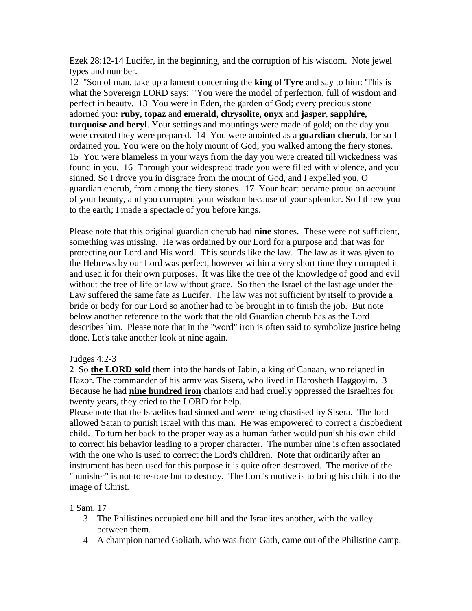Ezek 28:12-14 Lucifer, in the beginning, and the corruption of his wisdom. Note jewel types and number.

12 "Son of man, take up a lament concerning the **king of Tyre** and say to him: 'This is what the Sovereign LORD says: "'You were the model of perfection, full of wisdom and perfect in beauty. 13 You were in Eden, the garden of God; every precious stone adorned you**: ruby, topaz** and **emerald, chrysolite, onyx** and **jasper**, **sapphire, turquoise and beryl**. Your settings and mountings were made of gold; on the day you were created they were prepared. 14 You were anointed as a **guardian cherub**, for so I ordained you. You were on the holy mount of God; you walked among the fiery stones. 15 You were blameless in your ways from the day you were created till wickedness was found in you. 16 Through your widespread trade you were filled with violence, and you sinned. So I drove you in disgrace from the mount of God, and I expelled you, O guardian cherub, from among the fiery stones. 17 Your heart became proud on account of your beauty, and you corrupted your wisdom because of your splendor. So I threw you to the earth; I made a spectacle of you before kings.

Please note that this original guardian cherub had **nine** stones. These were not sufficient, something was missing. He was ordained by our Lord for a purpose and that was for protecting our Lord and His word. This sounds like the law. The law as it was given to the Hebrews by our Lord was perfect, however within a very short time they corrupted it and used it for their own purposes. It was like the tree of the knowledge of good and evil without the tree of life or law without grace. So then the Israel of the last age under the Law suffered the same fate as Lucifer. The law was not sufficient by itself to provide a bride or body for our Lord so another had to be brought in to finish the job. But note below another reference to the work that the old Guardian cherub has as the Lord describes him. Please note that in the "word" iron is often said to symbolize justice being done. Let's take another look at nine again.

### Judges 4:2-3

2 So **the LORD sold** them into the hands of Jabin, a king of Canaan, who reigned in Hazor. The commander of his army was Sisera, who lived in Harosheth Haggoyim. 3 Because he had **nine hundred iron** chariots and had cruelly oppressed the Israelites for twenty years, they cried to the LORD for help.

Please note that the Israelites had sinned and were being chastised by Sisera. The lord allowed Satan to punish Israel with this man. He was empowered to correct a disobedient child. To turn her back to the proper way as a human father would punish his own child to correct his behavior leading to a proper character. The number nine is often associated with the one who is used to correct the Lord's children. Note that ordinarily after an instrument has been used for this purpose it is quite often destroyed. The motive of the "punisher" is not to restore but to destroy. The Lord's motive is to bring his child into the image of Christ.

1 Sam. 17

- 3 The Philistines occupied one hill and the Israelites another, with the valley between them.
- 4 A champion named Goliath, who was from Gath, came out of the Philistine camp.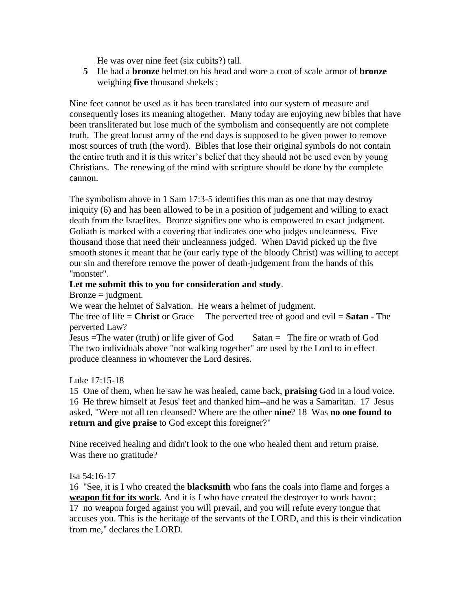He was over nine feet (six cubits?) tall.

**5** He had a **bronze** helmet on his head and wore a coat of scale armor of **bronze** weighing **five** thousand shekels ;

Nine feet cannot be used as it has been translated into our system of measure and consequently loses its meaning altogether. Many today are enjoying new bibles that have been transliterated but lose much of the symbolism and consequently are not complete truth. The great locust army of the end days is supposed to be given power to remove most sources of truth (the word). Bibles that lose their original symbols do not contain the entire truth and it is this writer's belief that they should not be used even by young Christians. The renewing of the mind with scripture should be done by the complete cannon.

The symbolism above in 1 Sam 17:3-5 identifies this man as one that may destroy iniquity (6) and has been allowed to be in a position of judgement and willing to exact death from the Israelites. Bronze signifies one who is empowered to exact judgment. Goliath is marked with a covering that indicates one who judges uncleanness. Five thousand those that need their uncleanness judged. When David picked up the five smooth stones it meant that he (our early type of the bloody Christ) was willing to accept our sin and therefore remove the power of death-judgement from the hands of this "monster".

### **Let me submit this to you for consideration and study**.

 $Bronze = judgment.$ 

We wear the helmet of Salvation. He wears a helmet of judgment.

The tree of life = **Christ** or Grace The perverted tree of good and evil = **Satan** - The perverted Law?

Jesus =The water (truth) or life giver of God Satan = The fire or wrath of God The two individuals above "not walking together" are used by the Lord to in effect produce cleanness in whomever the Lord desires.

### Luke 17:15-18

15 One of them, when he saw he was healed, came back, **praising** God in a loud voice. 16 He threw himself at Jesus' feet and thanked him--and he was a Samaritan. 17 Jesus asked, "Were not all ten cleansed? Where are the other **nine**? 18 Was **no one found to return and give praise** to God except this foreigner?"

Nine received healing and didn't look to the one who healed them and return praise. Was there no gratitude?

### Isa 54:16-17

16 "See, it is I who created the **blacksmith** who fans the coals into flame and forges a **weapon fit for its work**. And it is I who have created the destroyer to work havoc; 17 no weapon forged against you will prevail, and you will refute every tongue that accuses you. This is the heritage of the servants of the LORD, and this is their vindication from me," declares the LORD.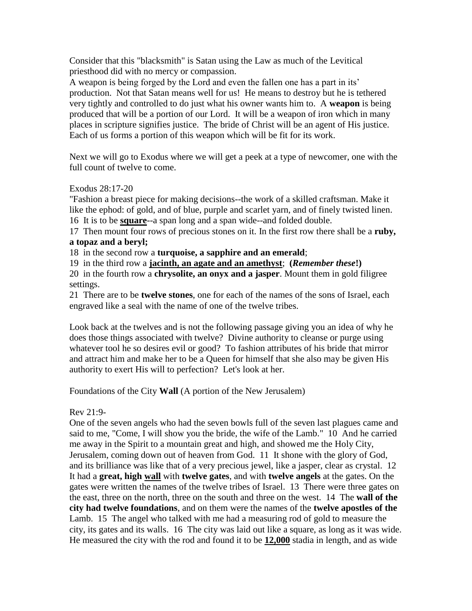Consider that this "blacksmith" is Satan using the Law as much of the Levitical priesthood did with no mercy or compassion.

A weapon is being forged by the Lord and even the fallen one has a part in its' production. Not that Satan means well for us! He means to destroy but he is tethered very tightly and controlled to do just what his owner wants him to. A **weapon** is being produced that will be a portion of our Lord. It will be a weapon of iron which in many places in scripture signifies justice. The bride of Christ will be an agent of His justice. Each of us forms a portion of this weapon which will be fit for its work.

Next we will go to Exodus where we will get a peek at a type of newcomer, one with the full count of twelve to come.

Exodus 28:17-20

"Fashion a breast piece for making decisions--the work of a skilled craftsman. Make it like the ephod: of gold, and of blue, purple and scarlet yarn, and of finely twisted linen. 16 It is to be **square**--a span long and a span wide--and folded double.

17 Then mount four rows of precious stones on it. In the first row there shall be a **ruby, a topaz and a beryl;**

18 in the second row a **turquoise, a sapphire and an emerald**;

19 in the third row a **jacinth, an agate and an amethyst**; **(***Remember these***!)**

20 in the fourth row a **chrysolite, an onyx and a jasper**. Mount them in gold filigree settings.

21 There are to be **twelve stones**, one for each of the names of the sons of Israel, each engraved like a seal with the name of one of the twelve tribes.

Look back at the twelves and is not the following passage giving you an idea of why he does those things associated with twelve? Divine authority to cleanse or purge using whatever tool he so desires evil or good? To fashion attributes of his bride that mirror and attract him and make her to be a Queen for himself that she also may be given His authority to exert His will to perfection? Let's look at her.

Foundations of the City **Wall** (A portion of the New Jerusalem)

### Rev 21:9-

One of the seven angels who had the seven bowls full of the seven last plagues came and said to me, "Come, I will show you the bride, the wife of the Lamb." 10 And he carried me away in the Spirit to a mountain great and high, and showed me the Holy City, Jerusalem, coming down out of heaven from God. 11 It shone with the glory of God, and its brilliance was like that of a very precious jewel, like a jasper, clear as crystal. 12 It had a **great, high wall** with **twelve gates**, and with **twelve angels** at the gates. On the gates were written the names of the twelve tribes of Israel. 13 There were three gates on the east, three on the north, three on the south and three on the west. 14 The **wall of the city had twelve foundations**, and on them were the names of the **twelve apostles of the** Lamb. 15 The angel who talked with me had a measuring rod of gold to measure the city, its gates and its walls. 16 The city was laid out like a square, as long as it was wide. He measured the city with the rod and found it to be **12,000** stadia in length, and as wide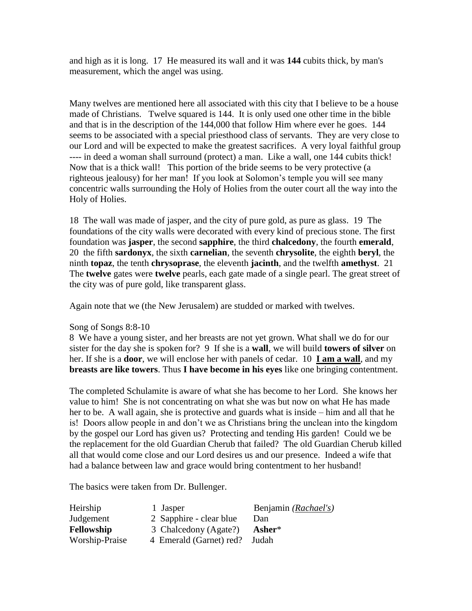and high as it is long. 17 He measured its wall and it was **144** cubits thick, by man's measurement, which the angel was using.

Many twelves are mentioned here all associated with this city that I believe to be a house made of Christians. Twelve squared is 144. It is only used one other time in the bible and that is in the description of the 144,000 that follow Him where ever he goes. 144 seems to be associated with a special priesthood class of servants. They are very close to our Lord and will be expected to make the greatest sacrifices. A very loyal faithful group ---- in deed a woman shall surround (protect) a man. Like a wall, one 144 cubits thick! Now that is a thick wall! This portion of the bride seems to be very protective (a righteous jealousy) for her man! If you look at Solomon's temple you will see many concentric walls surrounding the Holy of Holies from the outer court all the way into the Holy of Holies.

18 The wall was made of jasper, and the city of pure gold, as pure as glass. 19 The foundations of the city walls were decorated with every kind of precious stone. The first foundation was **jasper**, the second **sapphire**, the third **chalcedony**, the fourth **emerald**, 20 the fifth **sardonyx**, the sixth **carnelian**, the seventh **chrysolite**, the eighth **beryl**, the ninth **topaz**, the tenth **chrysoprase**, the eleventh **jacinth**, and the twelfth **amethyst**. 21 The **twelve** gates were **twelve** pearls, each gate made of a single pearl. The great street of the city was of pure gold, like transparent glass.

Again note that we (the New Jerusalem) are studded or marked with twelves.

### Song of Songs 8:8-10

8 We have a young sister, and her breasts are not yet grown. What shall we do for our sister for the day she is spoken for? 9 If she is a **wall**, we will build **towers of silver** on her. If she is a **door**, we will enclose her with panels of cedar. 10 **I am a wall**, and my **breasts are like towers**. Thus **I have become in his eyes** like one bringing contentment.

The completed Schulamite is aware of what she has become to her Lord. She knows her value to him! She is not concentrating on what she was but now on what He has made her to be. A wall again, she is protective and guards what is inside – him and all that he is! Doors allow people in and don't we as Christians bring the unclean into the kingdom by the gospel our Lord has given us? Protecting and tending His garden! Could we be the replacement for the old Guardian Cherub that failed? The old Guardian Cherub killed all that would come close and our Lord desires us and our presence. Indeed a wife that had a balance between law and grace would bring contentment to her husband!

The basics were taken from Dr. Bullenger.

| Heirship          | 1 Jasper                | Benjamin (Rachael's) |
|-------------------|-------------------------|----------------------|
| Judgement         | 2 Sapphire - clear blue | Dan                  |
| <b>Fellowship</b> | 3 Chalcedony (Agate?)   | Asher*               |
| Worship-Praise    | 4 Emerald (Garnet) red? | Judah                |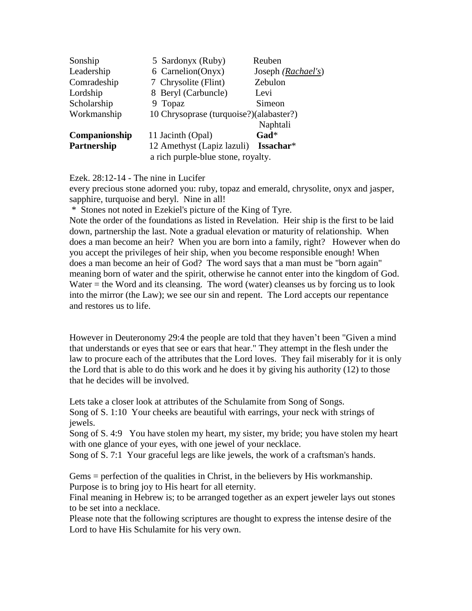| Sonship       | 5 Sardonyx (Ruby)                       | Reuben                      |  |
|---------------|-----------------------------------------|-----------------------------|--|
| Leadership    | 6 Carnelion(Onyx)                       | Joseph ( <i>Rachael's</i> ) |  |
| Comradeship   | 7 Chrysolite (Flint)                    | Zebulon                     |  |
| Lordship      | 8 Beryl (Carbuncle)                     | Levi                        |  |
| Scholarship   | 9 Topaz                                 | Simeon                      |  |
| Workmanship   | 10 Chrysoprase (turquoise?)(alabaster?) |                             |  |
|               |                                         | Naphtali                    |  |
| Companionship | 11 Jacinth (Opal)                       | Gad*                        |  |
| Partnership   | 12 Amethyst (Lapiz lazuli)              | Issachar*                   |  |
|               | a rich purple-blue stone, royalty.      |                             |  |

Ezek. 28:12-14 - The nine in Lucifer

every precious stone adorned you: ruby, topaz and emerald, chrysolite, onyx and jasper, sapphire, turquoise and beryl. Nine in all!

\* Stones not noted in Ezekiel's picture of the King of Tyre.

Note the order of the foundations as listed in Revelation. Heir ship is the first to be laid down, partnership the last. Note a gradual elevation or maturity of relationship. When does a man become an heir? When you are born into a family, right? However when do you accept the privileges of heir ship, when you become responsible enough! When does a man become an heir of God? The word says that a man must be "born again" meaning born of water and the spirit, otherwise he cannot enter into the kingdom of God. Water  $=$  the Word and its cleansing. The word (water) cleanses us by forcing us to look into the mirror (the Law); we see our sin and repent. The Lord accepts our repentance and restores us to life.

However in Deuteronomy 29:4 the people are told that they haven't been "Given a mind that understands or eyes that see or ears that hear." They attempt in the flesh under the law to procure each of the attributes that the Lord loves. They fail miserably for it is only the Lord that is able to do this work and he does it by giving his authority (12) to those that he decides will be involved.

Lets take a closer look at attributes of the Schulamite from Song of Songs.

Song of S. 1:10 Your cheeks are beautiful with earrings, your neck with strings of jewels.

Song of S. 4:9 You have stolen my heart, my sister, my bride; you have stolen my heart with one glance of your eyes, with one jewel of your necklace.

Song of S. 7:1 Your graceful legs are like jewels, the work of a craftsman's hands.

Gems = perfection of the qualities in Christ, in the believers by His workmanship. Purpose is to bring joy to His heart for all eternity.

Final meaning in Hebrew is; to be arranged together as an expert jeweler lays out stones to be set into a necklace.

Please note that the following scriptures are thought to express the intense desire of the Lord to have His Schulamite for his very own.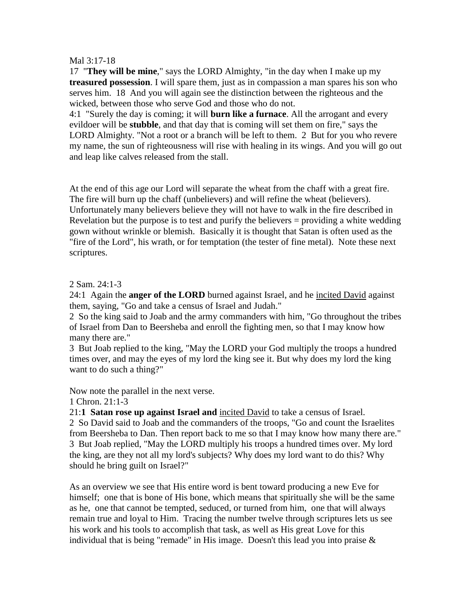#### Mal 3:17-18

17 "**They will be mine**," says the LORD Almighty, "in the day when I make up my **treasured possession**. I will spare them, just as in compassion a man spares his son who serves him. 18 And you will again see the distinction between the righteous and the wicked, between those who serve God and those who do not.

4:1 "Surely the day is coming; it will **burn like a furnace**. All the arrogant and every evildoer will be **stubble**, and that day that is coming will set them on fire," says the LORD Almighty. "Not a root or a branch will be left to them. 2 But for you who revere my name, the sun of righteousness will rise with healing in its wings. And you will go out and leap like calves released from the stall.

At the end of this age our Lord will separate the wheat from the chaff with a great fire. The fire will burn up the chaff (unbelievers) and will refine the wheat (believers). Unfortunately many believers believe they will not have to walk in the fire described in Revelation but the purpose is to test and purify the believers  $=$  providing a white wedding gown without wrinkle or blemish. Basically it is thought that Satan is often used as the "fire of the Lord", his wrath, or for temptation (the tester of fine metal). Note these next scriptures.

2 Sam. 24:1-3

24:1 Again the **anger of the LORD** burned against Israel, and he incited David against them, saying, "Go and take a census of Israel and Judah."

2 So the king said to Joab and the army commanders with him, "Go throughout the tribes of Israel from Dan to Beersheba and enroll the fighting men, so that I may know how many there are."

3 But Joab replied to the king, "May the LORD your God multiply the troops a hundred times over, and may the eyes of my lord the king see it. But why does my lord the king want to do such a thing?"

Now note the parallel in the next verse.

1 Chron. 21:1-3

21:**1 Satan rose up against Israel and** incited David to take a census of Israel. 2 So David said to Joab and the commanders of the troops, "Go and count the Israelites from Beersheba to Dan. Then report back to me so that I may know how many there are." 3 But Joab replied, "May the LORD multiply his troops a hundred times over. My lord the king, are they not all my lord's subjects? Why does my lord want to do this? Why should he bring guilt on Israel?"

As an overview we see that His entire word is bent toward producing a new Eve for himself; one that is bone of His bone, which means that spiritually she will be the same as he, one that cannot be tempted, seduced, or turned from him, one that will always remain true and loyal to Him. Tracing the number twelve through scriptures lets us see his work and his tools to accomplish that task, as well as His great Love for this individual that is being "remade" in His image. Doesn't this lead you into praise  $\&$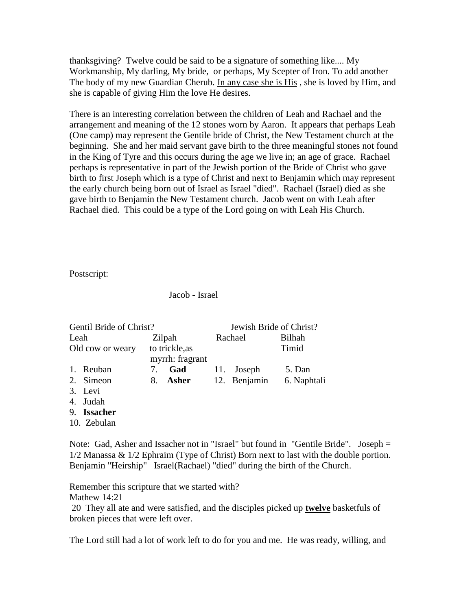thanksgiving? Twelve could be said to be a signature of something like.... My Workmanship, My darling, My bride, or perhaps, My Scepter of Iron. To add another The body of my new Guardian Cherub. In any case she is His , she is loved by Him, and she is capable of giving Him the love He desires.

There is an interesting correlation between the children of Leah and Rachael and the arrangement and meaning of the 12 stones worn by Aaron. It appears that perhaps Leah (One camp) may represent the Gentile bride of Christ, the New Testament church at the beginning. She and her maid servant gave birth to the three meaningful stones not found in the King of Tyre and this occurs during the age we live in; an age of grace. Rachael perhaps is representative in part of the Jewish portion of the Bride of Christ who gave birth to first Joseph which is a type of Christ and next to Benjamin which may represent the early church being born out of Israel as Israel "died". Rachael (Israel) died as she gave birth to Benjamin the New Testament church. Jacob went on with Leah after Rachael died. This could be a type of the Lord going on with Leah His Church.

Postscript:

Jacob - Israel

| Gentil Bride of Christ? |                       |    |                                   | Jewish Bride of Christ? |              |               |
|-------------------------|-----------------------|----|-----------------------------------|-------------------------|--------------|---------------|
| Leah                    |                       |    | Zilpah                            |                         | Rachael      | <b>Bilhah</b> |
|                         | Old cow or weary      |    | to trickle, as<br>myrrh: fragrant |                         |              | Timid         |
|                         | 1. Reuban             | 7. | Gad                               | 11.                     | Joseph       | 5. Dan        |
|                         | 2. Simeon             |    | 8. Asher                          |                         | 12. Benjamin | 6. Naphtali   |
|                         | 3. Levi               |    |                                   |                         |              |               |
|                         | 4. Judah              |    |                                   |                         |              |               |
|                         | $\sim$ $\blacksquare$ |    |                                   |                         |              |               |

9. **Issacher**

10. Zebulan

Note: Gad, Asher and Issacher not in "Israel" but found in "Gentile Bride". Joseph = 1/2 Manassa & 1/2 Ephraim (Type of Christ) Born next to last with the double portion. Benjamin "Heirship" Israel(Rachael) "died" during the birth of the Church.

Remember this scripture that we started with?

Mathew 14:21

20 They all ate and were satisfied, and the disciples picked up **twelve** basketfuls of broken pieces that were left over.

The Lord still had a lot of work left to do for you and me. He was ready, willing, and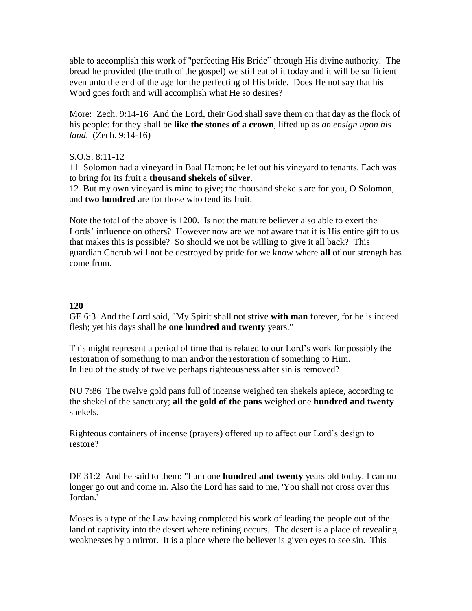able to accomplish this work of "perfecting His Bride" through His divine authority. The bread he provided (the truth of the gospel) we still eat of it today and it will be sufficient even unto the end of the age for the perfecting of His bride. Does He not say that his Word goes forth and will accomplish what He so desires?

More: Zech. 9:14-16 And the Lord, their God shall save them on that day as the flock of his people: for they shall be **like the stones of a crown**, lifted up as *an ensign upon his land*. (Zech. 9:14-16)

### S.O.S. 8:11-12

11 Solomon had a vineyard in Baal Hamon; he let out his vineyard to tenants. Each was to bring for its fruit a **thousand shekels of silver**.

12 But my own vineyard is mine to give; the thousand shekels are for you, O Solomon, and **two hundred** are for those who tend its fruit.

Note the total of the above is 1200. Is not the mature believer also able to exert the Lords' influence on others? However now are we not aware that it is His entire gift to us that makes this is possible? So should we not be willing to give it all back? This guardian Cherub will not be destroyed by pride for we know where **all** of our strength has come from.

# **120**

GE 6:3 And the Lord said, "My Spirit shall not strive **with man** forever, for he is indeed flesh; yet his days shall be **one hundred and twenty** years."

This might represent a period of time that is related to our Lord's work for possibly the restoration of something to man and/or the restoration of something to Him. In lieu of the study of twelve perhaps righteousness after sin is removed?

NU 7:86 The twelve gold pans full of incense weighed ten shekels apiece, according to the shekel of the sanctuary; **all the gold of the pans** weighed one **hundred and twenty** shekels.

Righteous containers of incense (prayers) offered up to affect our Lord's design to restore?

DE 31:2 And he said to them: "I am one **hundred and twenty** years old today. I can no longer go out and come in. Also the Lord has said to me, 'You shall not cross over this Jordan.'

Moses is a type of the Law having completed his work of leading the people out of the land of captivity into the desert where refining occurs. The desert is a place of revealing weaknesses by a mirror. It is a place where the believer is given eyes to see sin. This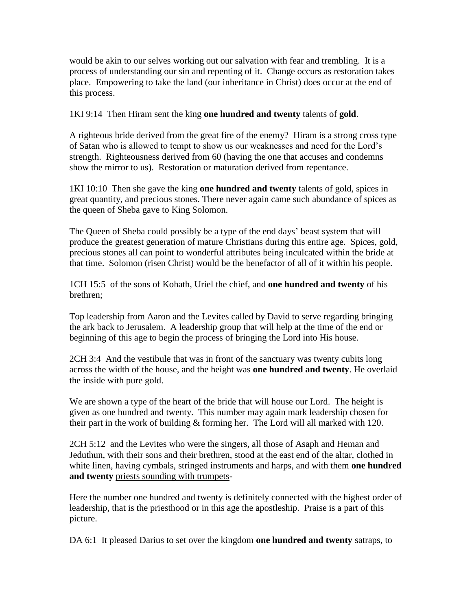would be akin to our selves working out our salvation with fear and trembling. It is a process of understanding our sin and repenting of it. Change occurs as restoration takes place. Empowering to take the land (our inheritance in Christ) does occur at the end of this process.

1KI 9:14 Then Hiram sent the king **one hundred and twenty** talents of **gold**.

A righteous bride derived from the great fire of the enemy? Hiram is a strong cross type of Satan who is allowed to tempt to show us our weaknesses and need for the Lord's strength. Righteousness derived from 60 (having the one that accuses and condemns show the mirror to us). Restoration or maturation derived from repentance.

1KI 10:10 Then she gave the king **one hundred and twenty** talents of gold, spices in great quantity, and precious stones. There never again came such abundance of spices as the queen of Sheba gave to King Solomon.

The Queen of Sheba could possibly be a type of the end days' beast system that will produce the greatest generation of mature Christians during this entire age. Spices, gold, precious stones all can point to wonderful attributes being inculcated within the bride at that time. Solomon (risen Christ) would be the benefactor of all of it within his people.

1CH 15:5 of the sons of Kohath, Uriel the chief, and **one hundred and twenty** of his brethren;

Top leadership from Aaron and the Levites called by David to serve regarding bringing the ark back to Jerusalem. A leadership group that will help at the time of the end or beginning of this age to begin the process of bringing the Lord into His house.

2CH 3:4 And the vestibule that was in front of the sanctuary was twenty cubits long across the width of the house, and the height was **one hundred and twenty**. He overlaid the inside with pure gold.

We are shown a type of the heart of the bride that will house our Lord. The height is given as one hundred and twenty. This number may again mark leadership chosen for their part in the work of building & forming her. The Lord will all marked with 120.

2CH 5:12 and the Levites who were the singers, all those of Asaph and Heman and Jeduthun, with their sons and their brethren, stood at the east end of the altar, clothed in white linen, having cymbals, stringed instruments and harps, and with them **one hundred and twenty** priests sounding with trumpets-

Here the number one hundred and twenty is definitely connected with the highest order of leadership, that is the priesthood or in this age the apostleship. Praise is a part of this picture.

DA 6:1 It pleased Darius to set over the kingdom **one hundred and twenty** satraps, to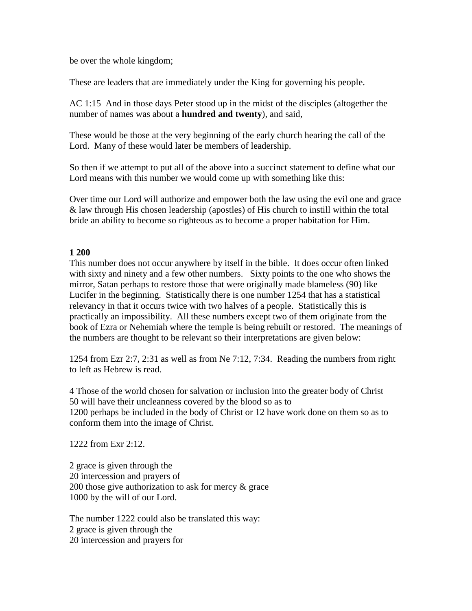be over the whole kingdom;

These are leaders that are immediately under the King for governing his people.

AC 1:15 And in those days Peter stood up in the midst of the disciples (altogether the number of names was about a **hundred and twenty**), and said,

These would be those at the very beginning of the early church hearing the call of the Lord. Many of these would later be members of leadership.

So then if we attempt to put all of the above into a succinct statement to define what our Lord means with this number we would come up with something like this:

Over time our Lord will authorize and empower both the law using the evil one and grace & law through His chosen leadership (apostles) of His church to instill within the total bride an ability to become so righteous as to become a proper habitation for Him.

### **1 200**

This number does not occur anywhere by itself in the bible. It does occur often linked with sixty and ninety and a few other numbers. Sixty points to the one who shows the mirror, Satan perhaps to restore those that were originally made blameless (90) like Lucifer in the beginning. Statistically there is one number 1254 that has a statistical relevancy in that it occurs twice with two halves of a people. Statistically this is practically an impossibility. All these numbers except two of them originate from the book of Ezra or Nehemiah where the temple is being rebuilt or restored. The meanings of the numbers are thought to be relevant so their interpretations are given below:

1254 from Ezr 2:7, 2:31 as well as from Ne 7:12, 7:34. Reading the numbers from right to left as Hebrew is read.

4 Those of the world chosen for salvation or inclusion into the greater body of Christ 50 will have their uncleanness covered by the blood so as to 1200 perhaps be included in the body of Christ or 12 have work done on them so as to conform them into the image of Christ.

1222 from Exr 2:12.

2 grace is given through the 20 intercession and prayers of 200 those give authorization to ask for mercy & grace 1000 by the will of our Lord.

The number 1222 could also be translated this way: 2 grace is given through the 20 intercession and prayers for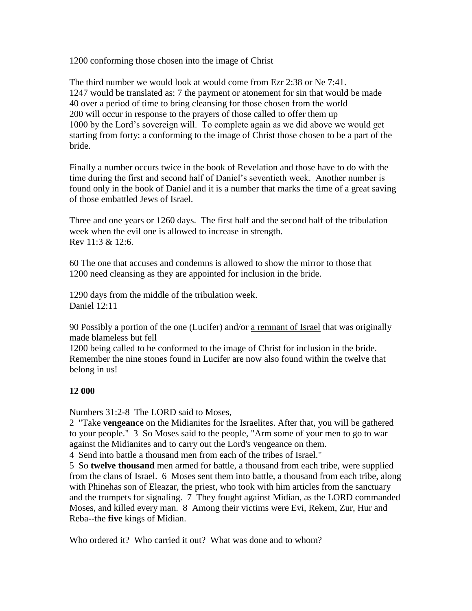1200 conforming those chosen into the image of Christ

The third number we would look at would come from Ezr 2:38 or Ne 7:41. 1247 would be translated as: 7 the payment or atonement for sin that would be made 40 over a period of time to bring cleansing for those chosen from the world 200 will occur in response to the prayers of those called to offer them up 1000 by the Lord's sovereign will. To complete again as we did above we would get starting from forty: a conforming to the image of Christ those chosen to be a part of the bride.

Finally a number occurs twice in the book of Revelation and those have to do with the time during the first and second half of Daniel's seventieth week. Another number is found only in the book of Daniel and it is a number that marks the time of a great saving of those embattled Jews of Israel.

Three and one years or 1260 days. The first half and the second half of the tribulation week when the evil one is allowed to increase in strength. Rev 11:3 & 12:6.

60 The one that accuses and condemns is allowed to show the mirror to those that 1200 need cleansing as they are appointed for inclusion in the bride.

1290 days from the middle of the tribulation week. Daniel 12:11

90 Possibly a portion of the one (Lucifer) and/or a remnant of Israel that was originally made blameless but fell

1200 being called to be conformed to the image of Christ for inclusion in the bride. Remember the nine stones found in Lucifer are now also found within the twelve that belong in us!

### **12 000**

Numbers 31:2-8 The LORD said to Moses,

2 "Take **vengeance** on the Midianites for the Israelites. After that, you will be gathered to your people." 3 So Moses said to the people, "Arm some of your men to go to war against the Midianites and to carry out the Lord's vengeance on them.

4 Send into battle a thousand men from each of the tribes of Israel."

5 So **twelve thousand** men armed for battle, a thousand from each tribe, were supplied from the clans of Israel. 6 Moses sent them into battle, a thousand from each tribe, along with Phinehas son of Eleazar, the priest, who took with him articles from the sanctuary and the trumpets for signaling. 7 They fought against Midian, as the LORD commanded Moses, and killed every man. 8 Among their victims were Evi, Rekem, Zur, Hur and Reba--the **five** kings of Midian.

Who ordered it? Who carried it out? What was done and to whom?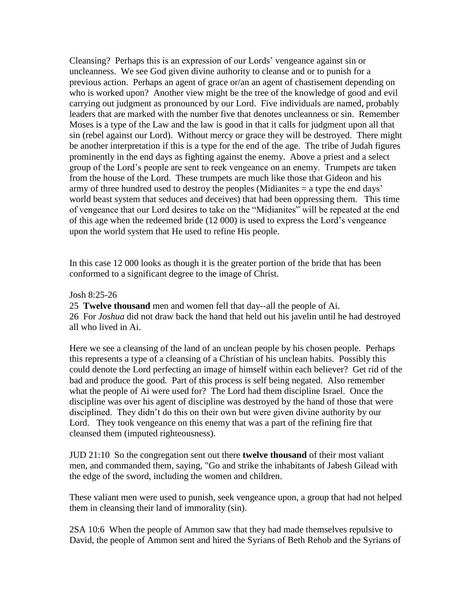Cleansing? Perhaps this is an expression of our Lords' vengeance against sin or uncleanness. We see God given divine authority to cleanse and or to punish for a previous action. Perhaps an agent of grace or/an an agent of chastisement depending on who is worked upon? Another view might be the tree of the knowledge of good and evil carrying out judgment as pronounced by our Lord. Five individuals are named, probably leaders that are marked with the number five that denotes uncleanness or sin. Remember Moses is a type of the Law and the law is good in that it calls for judgment upon all that sin (rebel against our Lord). Without mercy or grace they will be destroyed. There might be another interpretation if this is a type for the end of the age. The tribe of Judah figures prominently in the end days as fighting against the enemy. Above a priest and a select group of the Lord's people are sent to reek vengeance on an enemy. Trumpets are taken from the house of the Lord. These trumpets are much like those that Gideon and his army of three hundred used to destroy the peoples (Midianites = a type the end days' world beast system that seduces and deceives) that had been oppressing them. This time of vengeance that our Lord desires to take on the "Midianites" will be repeated at the end of this age when the redeemed bride (12 000) is used to express the Lord's vengeance upon the world system that He used to refine His people.

In this case 12 000 looks as though it is the greater portion of the bride that has been conformed to a significant degree to the image of Christ.

Josh 8:25-26

25 **Twelve thousand** men and women fell that day--all the people of Ai. 26 For *Joshua* did not draw back the hand that held out his javelin until he had destroyed all who lived in Ai.

Here we see a cleansing of the land of an unclean people by his chosen people. Perhaps this represents a type of a cleansing of a Christian of his unclean habits. Possibly this could denote the Lord perfecting an image of himself within each believer? Get rid of the bad and produce the good. Part of this process is self being negated. Also remember what the people of Ai were used for? The Lord had them discipline Israel. Once the discipline was over his agent of discipline was destroyed by the hand of those that were disciplined. They didn't do this on their own but were given divine authority by our Lord. They took vengeance on this enemy that was a part of the refining fire that cleansed them (imputed righteousness).

JUD 21:10 So the congregation sent out there **twelve thousand** of their most valiant men, and commanded them, saying, "Go and strike the inhabitants of Jabesh Gilead with the edge of the sword, including the women and children.

These valiant men were used to punish, seek vengeance upon, a group that had not helped them in cleansing their land of immorality (sin).

2SA 10:6 When the people of Ammon saw that they had made themselves repulsive to David, the people of Ammon sent and hired the Syrians of Beth Rehob and the Syrians of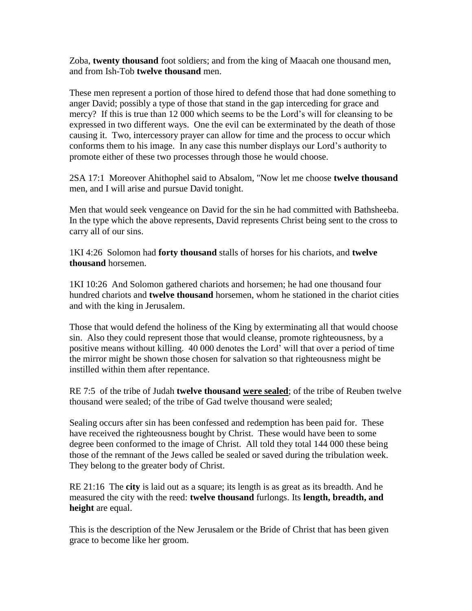Zoba, **twenty thousand** foot soldiers; and from the king of Maacah one thousand men, and from Ish-Tob **twelve thousand** men.

These men represent a portion of those hired to defend those that had done something to anger David; possibly a type of those that stand in the gap interceding for grace and mercy? If this is true than 12 000 which seems to be the Lord's will for cleansing to be expressed in two different ways. One the evil can be exterminated by the death of those causing it. Two, intercessory prayer can allow for time and the process to occur which conforms them to his image. In any case this number displays our Lord's authority to promote either of these two processes through those he would choose.

2SA 17:1 Moreover Ahithophel said to Absalom, "Now let me choose **twelve thousand** men, and I will arise and pursue David tonight.

Men that would seek vengeance on David for the sin he had committed with Bathsheeba. In the type which the above represents, David represents Christ being sent to the cross to carry all of our sins.

1KI 4:26 Solomon had **forty thousand** stalls of horses for his chariots, and **twelve thousand** horsemen.

1KI 10:26 And Solomon gathered chariots and horsemen; he had one thousand four hundred chariots and **twelve thousand** horsemen, whom he stationed in the chariot cities and with the king in Jerusalem.

Those that would defend the holiness of the King by exterminating all that would choose sin. Also they could represent those that would cleanse, promote righteousness, by a positive means without killing. 40 000 denotes the Lord' will that over a period of time the mirror might be shown those chosen for salvation so that righteousness might be instilled within them after repentance.

RE 7:5 of the tribe of Judah **twelve thousand were sealed**; of the tribe of Reuben twelve thousand were sealed; of the tribe of Gad twelve thousand were sealed;

Sealing occurs after sin has been confessed and redemption has been paid for. These have received the righteousness bought by Christ. These would have been to some degree been conformed to the image of Christ. All told they total 144 000 these being those of the remnant of the Jews called be sealed or saved during the tribulation week. They belong to the greater body of Christ.

RE 21:16 The **city** is laid out as a square; its length is as great as its breadth. And he measured the city with the reed: **twelve thousand** furlongs. Its **length, breadth, and height** are equal.

This is the description of the New Jerusalem or the Bride of Christ that has been given grace to become like her groom.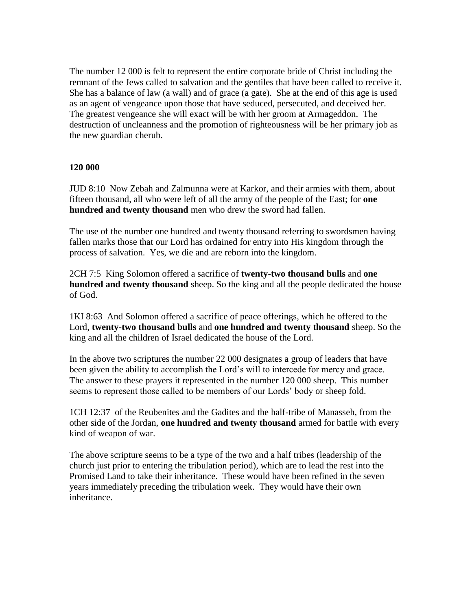The number 12 000 is felt to represent the entire corporate bride of Christ including the remnant of the Jews called to salvation and the gentiles that have been called to receive it. She has a balance of law (a wall) and of grace (a gate). She at the end of this age is used as an agent of vengeance upon those that have seduced, persecuted, and deceived her. The greatest vengeance she will exact will be with her groom at Armageddon. The destruction of uncleanness and the promotion of righteousness will be her primary job as the new guardian cherub.

### **120 000**

JUD 8:10 Now Zebah and Zalmunna were at Karkor, and their armies with them, about fifteen thousand, all who were left of all the army of the people of the East; for **one hundred and twenty thousand** men who drew the sword had fallen.

The use of the number one hundred and twenty thousand referring to swordsmen having fallen marks those that our Lord has ordained for entry into His kingdom through the process of salvation. Yes, we die and are reborn into the kingdom.

2CH 7:5 King Solomon offered a sacrifice of **twenty-two thousand bulls** and **one hundred and twenty thousand** sheep. So the king and all the people dedicated the house of God.

1KI 8:63 And Solomon offered a sacrifice of peace offerings, which he offered to the Lord, **twenty-two thousand bulls** and **one hundred and twenty thousand** sheep. So the king and all the children of Israel dedicated the house of the Lord.

In the above two scriptures the number 22 000 designates a group of leaders that have been given the ability to accomplish the Lord's will to intercede for mercy and grace. The answer to these prayers it represented in the number 120 000 sheep. This number seems to represent those called to be members of our Lords' body or sheep fold.

1CH 12:37 of the Reubenites and the Gadites and the half-tribe of Manasseh, from the other side of the Jordan, **one hundred and twenty thousand** armed for battle with every kind of weapon of war.

The above scripture seems to be a type of the two and a half tribes (leadership of the church just prior to entering the tribulation period), which are to lead the rest into the Promised Land to take their inheritance. These would have been refined in the seven years immediately preceding the tribulation week. They would have their own inheritance.